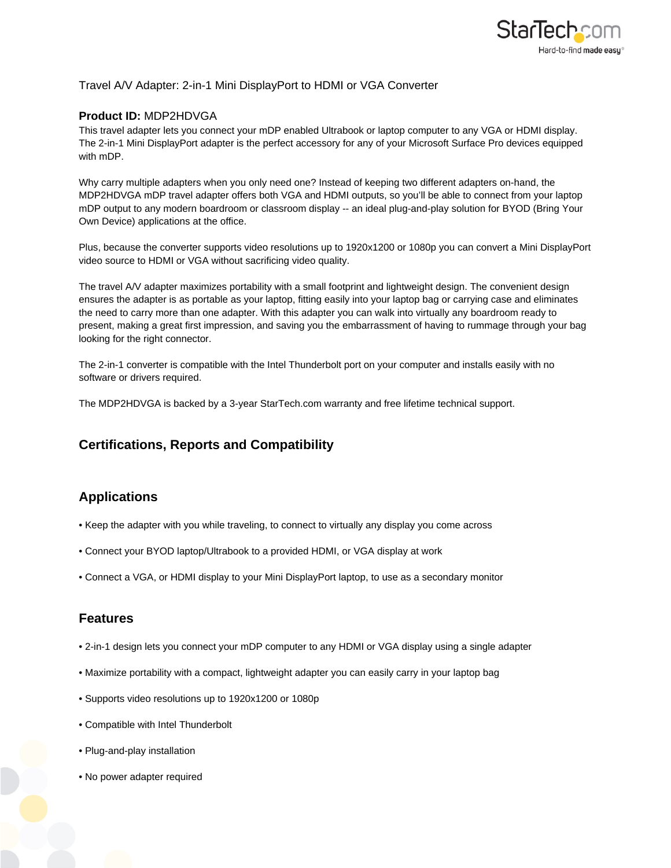

### Travel A/V Adapter: 2-in-1 Mini DisplayPort to HDMI or VGA Converter

#### **Product ID:** MDP2HDVGA

This travel adapter lets you connect your mDP enabled Ultrabook or laptop computer to any VGA or HDMI display. The 2-in-1 Mini DisplayPort adapter is the perfect accessory for any of your Microsoft Surface Pro devices equipped with mDP.

Why carry multiple adapters when you only need one? Instead of keeping two different adapters on-hand, the MDP2HDVGA mDP travel adapter offers both VGA and HDMI outputs, so you'll be able to connect from your laptop mDP output to any modern boardroom or classroom display -- an ideal plug-and-play solution for BYOD (Bring Your Own Device) applications at the office.

Plus, because the converter supports video resolutions up to 1920x1200 or 1080p you can convert a Mini DisplayPort video source to HDMI or VGA without sacrificing video quality.

The travel A/V adapter maximizes portability with a small footprint and lightweight design. The convenient design ensures the adapter is as portable as your laptop, fitting easily into your laptop bag or carrying case and eliminates the need to carry more than one adapter. With this adapter you can walk into virtually any boardroom ready to present, making a great first impression, and saving you the embarrassment of having to rummage through your bag looking for the right connector.

The 2-in-1 converter is compatible with the Intel Thunderbolt port on your computer and installs easily with no software or drivers required.

The MDP2HDVGA is backed by a 3-year StarTech.com warranty and free lifetime technical support.

# **Certifications, Reports and Compatibility**

## **Applications**

- Keep the adapter with you while traveling, to connect to virtually any display you come across
- Connect your BYOD laptop/Ultrabook to a provided HDMI, or VGA display at work
- Connect a VGA, or HDMI display to your Mini DisplayPort laptop, to use as a secondary monitor

### **Features**

- 2-in-1 design lets you connect your mDP computer to any HDMI or VGA display using a single adapter
- Maximize portability with a compact, lightweight adapter you can easily carry in your laptop bag
- Supports video resolutions up to 1920x1200 or 1080p
- Compatible with Intel Thunderbolt
- Plug-and-play installation
- No power adapter required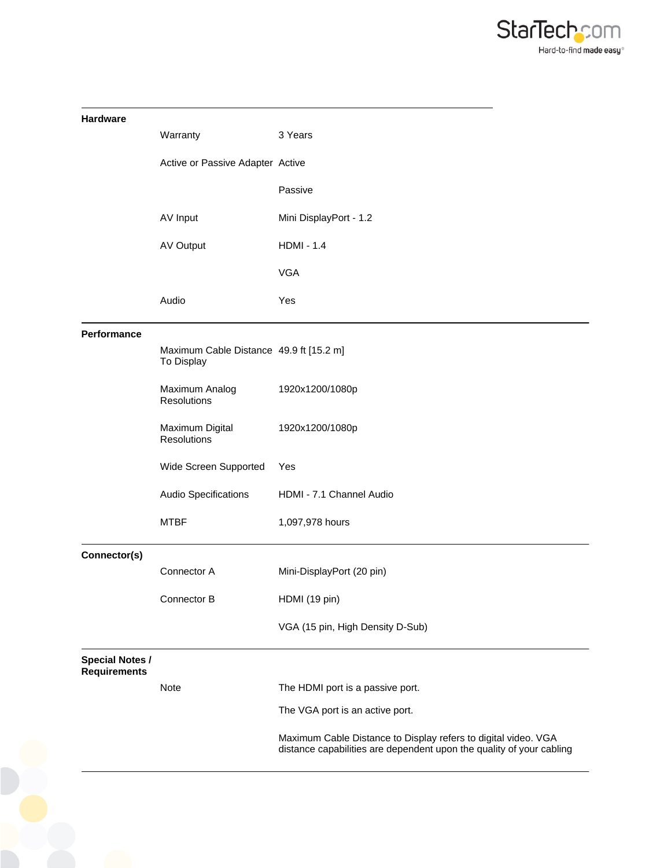

| <b>Hardware</b>                               |                                                       |                                                                                                                                        |
|-----------------------------------------------|-------------------------------------------------------|----------------------------------------------------------------------------------------------------------------------------------------|
|                                               | Warranty                                              | 3 Years                                                                                                                                |
|                                               | Active or Passive Adapter Active                      |                                                                                                                                        |
|                                               |                                                       | Passive                                                                                                                                |
|                                               | AV Input                                              | Mini DisplayPort - 1.2                                                                                                                 |
|                                               | AV Output                                             | <b>HDMI - 1.4</b>                                                                                                                      |
|                                               |                                                       | <b>VGA</b>                                                                                                                             |
|                                               | Audio                                                 | Yes                                                                                                                                    |
| Performance                                   |                                                       |                                                                                                                                        |
|                                               | Maximum Cable Distance 49.9 ft [15.2 m]<br>To Display |                                                                                                                                        |
|                                               | Maximum Analog<br>Resolutions                         | 1920x1200/1080p                                                                                                                        |
|                                               | Maximum Digital<br>Resolutions                        | 1920x1200/1080p                                                                                                                        |
|                                               | Wide Screen Supported                                 | Yes                                                                                                                                    |
|                                               | Audio Specifications                                  | HDMI - 7.1 Channel Audio                                                                                                               |
|                                               | <b>MTBF</b>                                           | 1,097,978 hours                                                                                                                        |
| Connector(s)                                  |                                                       |                                                                                                                                        |
|                                               | Connector A                                           | Mini-DisplayPort (20 pin)                                                                                                              |
|                                               | Connector B                                           | HDMI (19 pin)                                                                                                                          |
|                                               |                                                       | VGA (15 pin, High Density D-Sub)                                                                                                       |
| <b>Special Notes /</b><br><b>Requirements</b> |                                                       |                                                                                                                                        |
|                                               | Note                                                  | The HDMI port is a passive port.                                                                                                       |
|                                               |                                                       | The VGA port is an active port.                                                                                                        |
|                                               |                                                       | Maximum Cable Distance to Display refers to digital video. VGA<br>distance capabilities are dependent upon the quality of your cabling |
|                                               |                                                       |                                                                                                                                        |